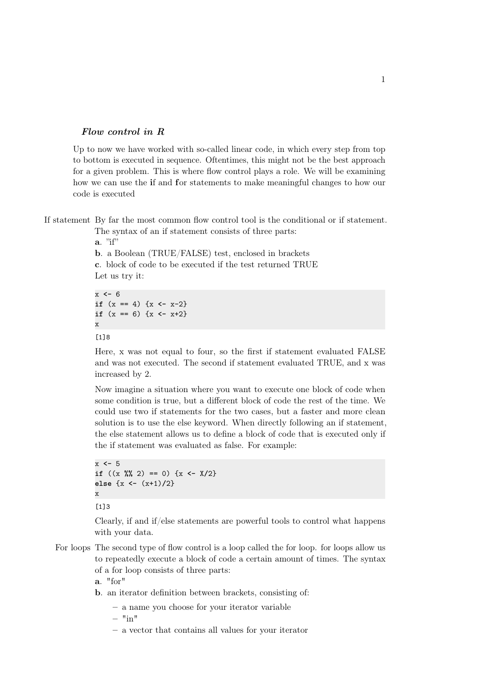## Flow control in R

Up to now we have worked with so-called linear code, in which every step from top to bottom is executed in sequence. Oftentimes, this might not be the best approach for a given problem. This is where flow control plays a role. We will be examining how we can use the if and for statements to make meaningful changes to how our code is executed

If statement By far the most common flow control tool is the conditional or if statement.

The syntax of an if statement consists of three parts:  $a.$  "if"

b. a Boolean (TRUE/FALSE) test, enclosed in brackets c. block of code to be executed if the test returned TRUE Let us try it:

x **<-** 6 **if**  $(x == 4)$   $\{x \le -x-2\}$ **if**  $(x == 6) \{x \leftarrow x+2\}$ x

## [1]8

Here, x was not equal to four, so the first if statement evaluated FALSE and was not executed. The second if statement evaluated TRUE, and x was increased by 2.

Now imagine a situation where you want to execute one block of code when some condition is true, but a different block of code the rest of the time. We could use two if statements for the two cases, but a faster and more clean solution is to use the else keyword. When directly following an if statement, the else statement allows us to define a block of code that is executed only if the if statement was evaluated as false. For example:

```
x <- 5
if ((x \sqrt[6]{2}) == 0) {x \leftarrow X/2}else {x <- (x+1)/2}
x
```
[1]3

Clearly, if and if/else statements are powerful tools to control what happens with your data.

For loops The second type of flow control is a loop called the for loop. for loops allow us to repeatedly execute a block of code a certain amount of times. The syntax of a for loop consists of three parts:

a. "for"

- b. an iterator definition between brackets, consisting of:
	- a name you choose for your iterator variable

 $-$  "in"

– a vector that contains all values for your iterator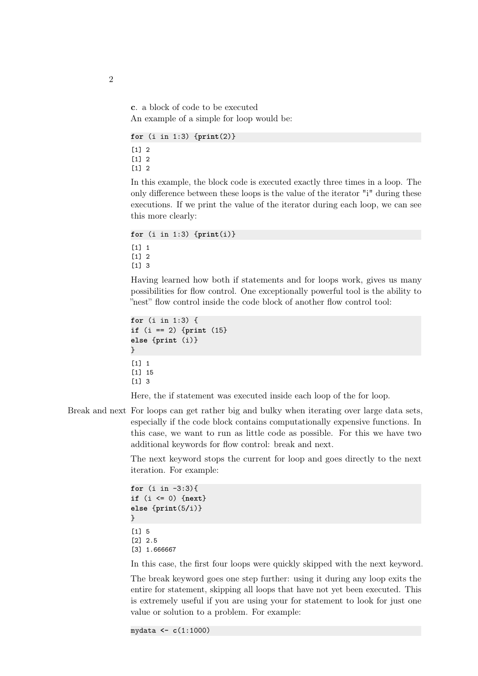c. a block of code to be executed An example of a simple for loop would be:

```
for (i in 1:3) {print(2)}
```
 $\lceil 1 \rceil$  2 [1] 2 [1] 2

In this example, the block code is executed exactly three times in a loop. The only difference between these loops is the value of the iterator "i" during these executions. If we print the value of the iterator during each loop, we can see this more clearly:

**for** (i in 1:3) {**print**(i)} [1] 1 [1] 2 [1] 3

Having learned how both if statements and for loops work, gives us many possibilities for flow control. One exceptionally powerful tool is the ability to "nest" flow control inside the code block of another flow control tool:

```
for (i in 1:3) {
if (i == 2) {print (15}
else {print (i)}
}
[1] 1
[1] 15
[1] 3
```
Here, the if statement was executed inside each loop of the for loop.

Break and next For loops can get rather big and bulky when iterating over large data sets, especially if the code block contains computationally expensive functions. In this case, we want to run as little code as possible. For this we have two additional keywords for flow control: break and next.

> The next keyword stops the current for loop and goes directly to the next iteration. For example:

```
for (i in -3:3){
if (i <= 0) {next}
else {print(5/i)}
}
[1] 5
[2] 2.5
[3] 1.666667
```
In this case, the first four loops were quickly skipped with the next keyword.

The break keyword goes one step further: using it during any loop exits the entire for statement, skipping all loops that have not yet been executed. This is extremely useful if you are using your for statement to look for just one value or solution to a problem. For example:

mydata **<- c**(1:1000)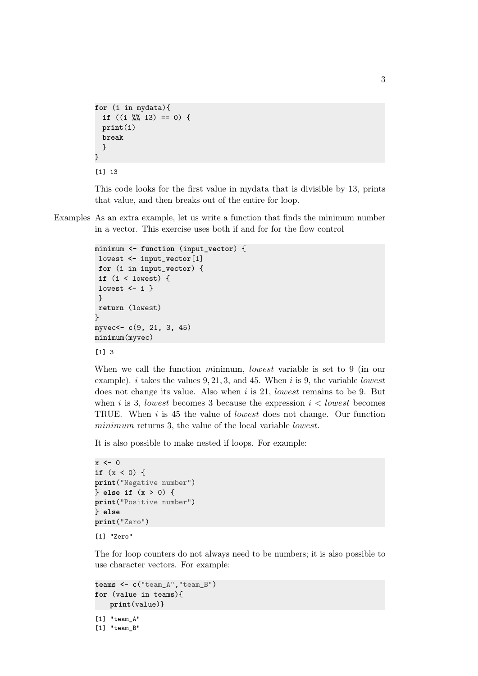```
for (i in mydata){
 if ((i %% 13) == 0) {
 print(i)
 break
 }
}
```


This code looks for the first value in mydata that is divisible by 13, prints that value, and then breaks out of the entire for loop.

Examples As an extra example, let us write a function that finds the minimum number in a vector. This exercise uses both if and for for the flow control

```
minimum <- function (input_vector) {
lowest <- input_vector[1]
for (i in input_vector) {
 if (i < lowest) {
lowest <- i }
}
return (lowest)
}
myvec<- c(9, 21, 3, 45)
minimum(myvec)
```
[1] 3

When we call the function minimum, lowest variable is set to 9 (in our example). i takes the values  $9, 21, 3$ , and  $45$ . When i is 9, the variable lowest does not change its value. Also when i is 21, lowest remains to be 9. But when i is 3, lowest becomes 3 because the expression  $i <$  lowest becomes TRUE. When i is 45 the value of lowest does not change. Our function minimum returns 3, the value of the local variable *lowest*.

It is also possible to make nested if loops. For example:

```
x <- 0
if (x < 0) {
print("Negative number")
} else if (x > 0) {
print("Positive number")
} else
print("Zero")
[1] "Zero"
```
The for loop counters do not always need to be numbers; it is also possible to use character vectors. For example:

```
teams <- c("team_A","team_B")
for (value in teams){
   print(value)}
```

```
[1] "team_A"
[1] "team_B"
```